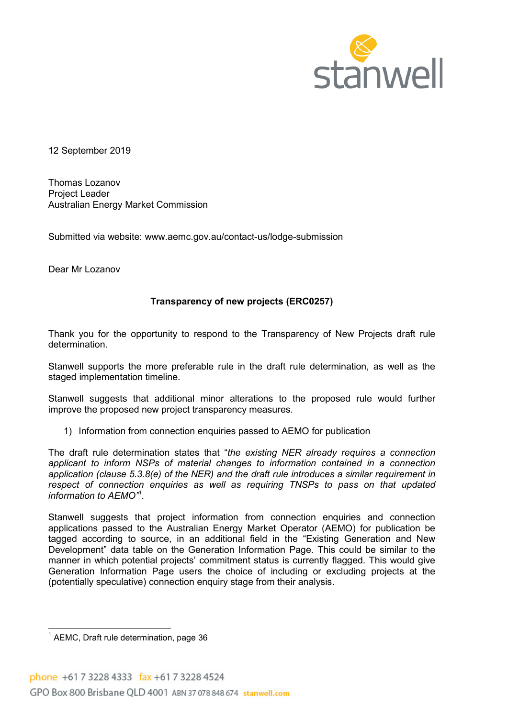

12 September 2019

Thomas Lozanov Project Leader Australian Energy Market Commission

Submitted via website: www.aemc.gov.au/contact-us/lodge-submission

Dear Mr Lozanov

## Transparency of new projects (ERC0257)

Thank you for the opportunity to respond to the Transparency of New Projects draft rule determination.

Stanwell supports the more preferable rule in the draft rule determination, as well as the staged implementation timeline.

Stanwell suggests that additional minor alterations to the proposed rule would further improve the proposed new project transparency measures.

1) Information from connection enquiries passed to AEMO for publication

The draft rule determination states that "the existing NER already requires a connection applicant to inform NSPs of material changes to information contained in a connection application (clause 5.3.8(e) of the NER) and the draft rule introduces a similar requirement in respect of connection enquiries as well as requiring TNSPs to pass on that updated information to AEMO"<sup>1</sup> .

Stanwell suggests that project information from connection enquiries and connection applications passed to the Australian Energy Market Operator (AEMO) for publication be tagged according to source, in an additional field in the "Existing Generation and New Development" data table on the Generation Information Page. This could be similar to the manner in which potential projects' commitment status is currently flagged. This would give Generation Information Page users the choice of including or excluding projects at the (potentially speculative) connection enquiry stage from their analysis.

 1 AEMC, Draft rule determination, page 36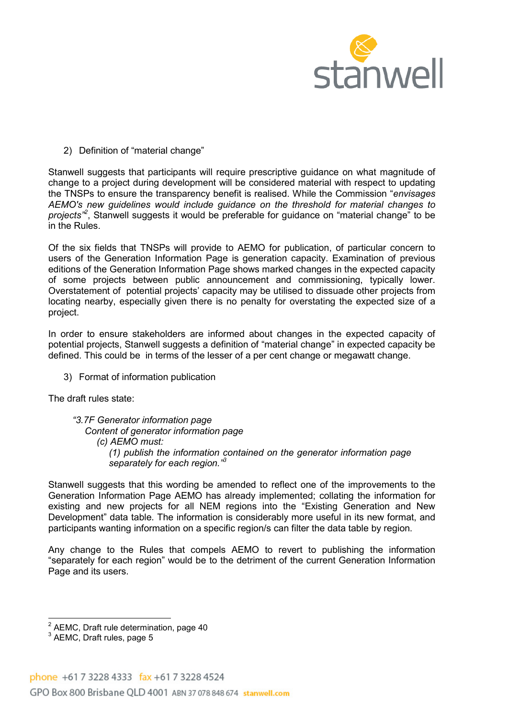

2) Definition of "material change"

Stanwell suggests that participants will require prescriptive guidance on what magnitude of change to a project during development will be considered material with respect to updating the TNSPs to ensure the transparency benefit is realised. While the Commission "envisages AEMO's new guidelines would include guidance on the threshold for material changes to projects<sup>2</sup>, Stanwell suggests it would be preferable for guidance on "material change" to be in the Rules.

Of the six fields that TNSPs will provide to AEMO for publication, of particular concern to users of the Generation Information Page is generation capacity. Examination of previous editions of the Generation Information Page shows marked changes in the expected capacity of some projects between public announcement and commissioning, typically lower. Overstatement of potential projects' capacity may be utilised to dissuade other projects from locating nearby, especially given there is no penalty for overstating the expected size of a project.

In order to ensure stakeholders are informed about changes in the expected capacity of potential projects, Stanwell suggests a definition of "material change" in expected capacity be defined. This could be in terms of the lesser of a per cent change or megawatt change.

3) Format of information publication

The draft rules state:

"3.7F Generator information page Content of generator information page (c) AEMO must: (1) publish the information contained on the generator information page separately for each region."<sup>3</sup>

Stanwell suggests that this wording be amended to reflect one of the improvements to the Generation Information Page AEMO has already implemented; collating the information for existing and new projects for all NEM regions into the "Existing Generation and New Development" data table. The information is considerably more useful in its new format, and participants wanting information on a specific region/s can filter the data table by region.

Any change to the Rules that compels AEMO to revert to publishing the information "separately for each region" would be to the detriment of the current Generation Information Page and its users.

 2 AEMC, Draft rule determination, page 40

 $^3$  AEMC, Draft rules, page 5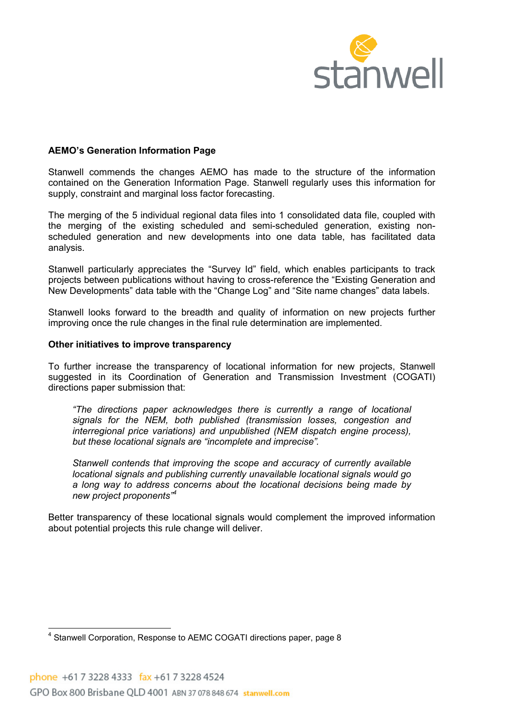

## AEMO's Generation Information Page

Stanwell commends the changes AEMO has made to the structure of the information contained on the Generation Information Page. Stanwell regularly uses this information for supply, constraint and marginal loss factor forecasting.

The merging of the 5 individual regional data files into 1 consolidated data file, coupled with the merging of the existing scheduled and semi-scheduled generation, existing nonscheduled generation and new developments into one data table, has facilitated data analysis.

Stanwell particularly appreciates the "Survey Id" field, which enables participants to track projects between publications without having to cross-reference the "Existing Generation and New Developments" data table with the "Change Log" and "Site name changes" data labels.

Stanwell looks forward to the breadth and quality of information on new projects further improving once the rule changes in the final rule determination are implemented.

## Other initiatives to improve transparency

To further increase the transparency of locational information for new projects, Stanwell suggested in its Coordination of Generation and Transmission Investment (COGATI) directions paper submission that:

"The directions paper acknowledges there is currently a range of locational signals for the NEM, both published (transmission losses, congestion and interregional price variations) and unpublished (NEM dispatch engine process), but these locational signals are "incomplete and imprecise".

Stanwell contends that improving the scope and accuracy of currently available locational signals and publishing currently unavailable locational signals would go a long way to address concerns about the locational decisions being made by new project proponents<sup>"4</sup>

Better transparency of these locational signals would complement the improved information about potential projects this rule change will deliver.

\_\_\_\_\_\_\_\_\_\_\_\_\_\_\_\_\_\_\_\_\_\_\_\_\_\_\_\_\_\_\_\_\_\_<br><sup>4</sup> Stanwell Corporation, Response to AEMC COGATI directions paper, page 8